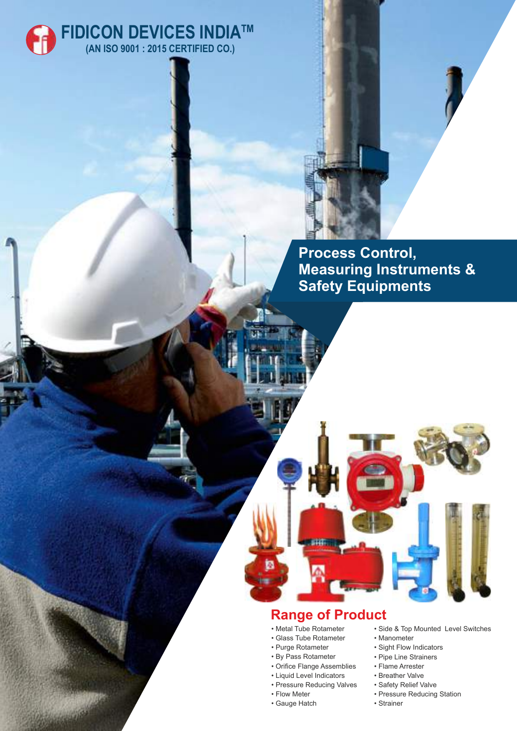



**Process Control, Measuring Instruments & Safety Equipments**

## **Range of Product**

- Metal Tube Rotameter
- Glass Tube Rotameter
- Purge Rotameter
- By Pass Rotameter
- Orifice Flange Assemblies
- Liquid Level Indicators
- Pressure Reducing Valves
- Flow Meter
- Gauge Hatch
- Side & Top Mounted Level Switches
- Manometer
- Sight Flow Indicators
- Pipe Line Strainers
- Flame Arrester
- Breather Valve
- Safety Relief Valve
- Pressure Reducing Station
- Strainer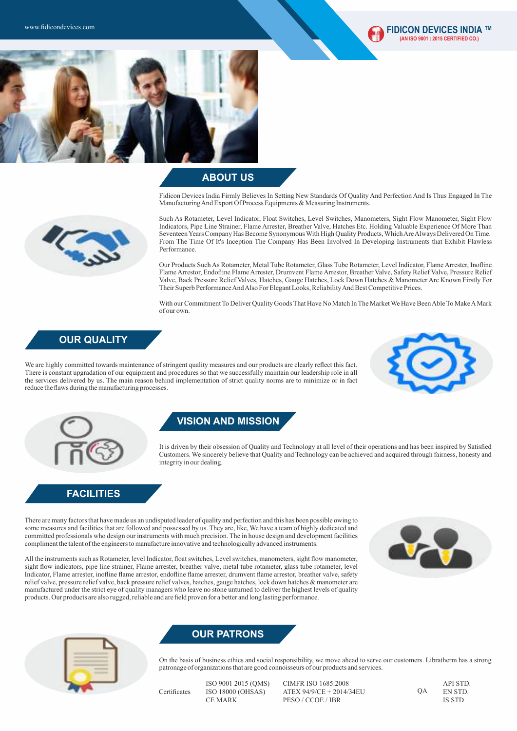



#### **ABOUT US**

Fidicon Devices India Firmly Believes In Setting New Standards Of Quality And Perfection And Is Thus Engaged In The Manufacturing And Export Of Process Equipments & Measuring Instruments.



Such As Rotameter, Level Indicator, Float Switches, Level Switches, Manometers, Sight Flow Manometer, Sight Flow Indicators, Pipe Line Strainer, Flame Arrester, Breather Valve, Hatches Etc. Holding Valuable Experience Of More Than Seventeen Years Company Has Become Synonymous With High Quality Products, Which Are Always Delivered On Time. From The Time Of It's Inception The Company Has Been Involved In Developing Instruments that Exhibit Flawless Performance.

Our Products Such As Rotameter, Metal Tube Rotameter, Glass Tube Rotameter, Level Indicator, Flame Arrester, Inofline Flame Arrestor, Endofline Flame Arrester, Drumvent Flame Arrestor, Breather Valve, Safety Relief Valve, Pressure Relief Valve, Back Pressure Relief Valves, Hatches, Gauge Hatches, Lock Down Hatches & Manometer Are Known Firstly For Their Superb Performance And Also For Elegant Looks, Reliability And Best Competitive Prices.

With our Commitment To Deliver Quality Goods That Have No Match In The Market We Have Been Able To Make AMark of our own.

## **OUR QUALITY**

We are highly committed towards maintenance of stringent quality measures and our products are clearly reflect this fact. There is constant upgradation of our equipment and procedures so that we successfully maintain our leadership role in all the services delivered by us. The main reason behind implementation of strict quality norms are to minimize or in fact reduce the flaws during the manufacturing processes.





## **VISION AND MISSION**

It is driven by their obsession of Quality and Technology at all level of their operations and has been inspired by Satisfied Customers. We sincerely believe that Quality and Technology can be achieved and acquired through fairness, honesty and integrity in our dealing.

## **FACILITIES**

There are many factors that have made us an undisputed leader of quality and perfection and this has been possible owing to some measures and facilities that are followed and possessed by us. They are, like, We have a team of highly dedicated and committed professionals who design our instruments with much precision. The in house design and development facilities compliment the talent of the engineers to manufacture innovative and technologically advanced instruments.

All the instruments such as Rotameter, level Indicator, float switches, Level switches, manometers, sight flow manometer,

sight flow indicators, pipe line strainer, Flame arrester, breather valve, metal tube rotameter, glass tube rotameter, level Indicator, Flame arrester, inofline flame arrestor, endofline flame arrester, drumvent flame arrestor, breather valve, safety relief valve, pressure relief valve, back pressure relief valves, hatches, gauge hatches, lock down hatches & manometer are manufactured under the strict eye of quality managers who leave no stone unturned to deliver the highest levels of quality products. Our products are also rugged, reliable and are field proven for a better and long lasting performance.



#### **OUR PATRONS**

On the basis of business ethics and social responsibility, we move ahead to serve our customers. Libratherm has a strong patronage of organizations that are good connoisseurs of our products and services.

**Certificates** 

 ISO 9001 2015 (QMS) ISO 18000 (OHSAS) CE MARK

 CIMFR ISO 1685:2008 ATEX 94/9/CE + 2014/34EU PESO / CCOE / IBR

 API STD. EN STD. IS STD QA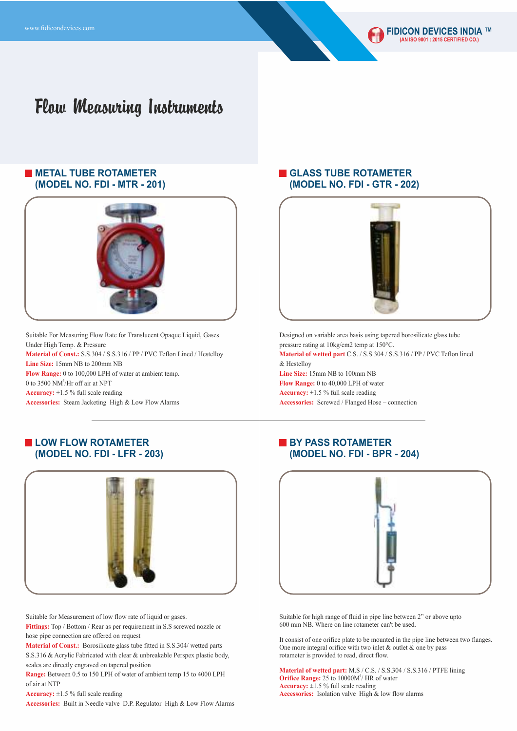### **METAL TUBE ROTAMETER (MODEL NO. FDI - MTR - 201)**



Suitable For Measuring Flow Rate for Translucent Opaque Liquid, Gases Under High Temp. & Pressure **Material of Const.:** S.S.304 / S.S.316 / PP / PVC Teflon Lined / Hestelloy **Line Size:** 15mm NB to 200mm NB **Flow Range:** 0 to 100,000 LPH of water at ambient temp. 0 to 3500 NM<sup>3</sup>/Hr off air at NPT **Accuracy:** ±1.5 % full scale reading **Accessories:** Steam Jacketing High & Low Flow Alarms

## **LOW FLOW ROTAMETER (MODEL NO. FDI - LFR - 203)**



Suitable for Measurement of low flow rate of liquid or gases.

**Fittings:** Top / Bottom / Rear as per requirement in S.S screwed nozzle or hose pipe connection are offered on request

**Material of Const.:** Borosilicate glass tube fitted in S.S.304/ wetted parts S.S.316 & Acrylic Fabricated with clear & unbreakable Perspex plastic body, scales are directly engraved on tapered position

**Range:** Between 0.5 to 150 LPH of water of ambient temp 15 to 4000 LPH of air at NTP

**Accuracy:** ±1.5 % full scale reading

**Accessories:** Built in Needle valve D.P. Regulator High & Low Flow Alarms

## **GLASS TUBE ROTAMETER (MODEL NO. FDI - GTR - 202)**



Designed on variable area basis using tapered borosilicate glass tube pressure rating at 10kg/cm2 temp at 150°C. **Material of wetted part** C.S. / S.S.304 / S.S.316 / PP / PVC Teflon lined & Hestelloy **Line Size:** 15mm NB to 100mm NB **Flow Range:** 0 to 40,000 LPH of water

**Accuracy:** ±1.5 % full scale reading **Accessories:** Screwed / Flanged Hose – connection

## **BY PASS ROTAMETER (MODEL NO. FDI - BPR - 204)**



Suitable for high range of fluid in pipe line between 2" or above upto 600 mm NB. Where on line rotameter can't be used.

It consist of one orifice plate to be mounted in the pipe line between two flanges. One more integral orifice with two inlet  $\&$  outlet  $\&$  one by pass rotameter is provided to read, direct flow.

**Material of wetted part:** M.S / C.S. / S.S.304 / S.S.316 / PTFE lining **Orifice Range:** 25 to 10000M<sup>3</sup>/ HR of water **Accuracy:** ±1.5 % full scale reading **Accessories:** Isolation valve High & low flow alarms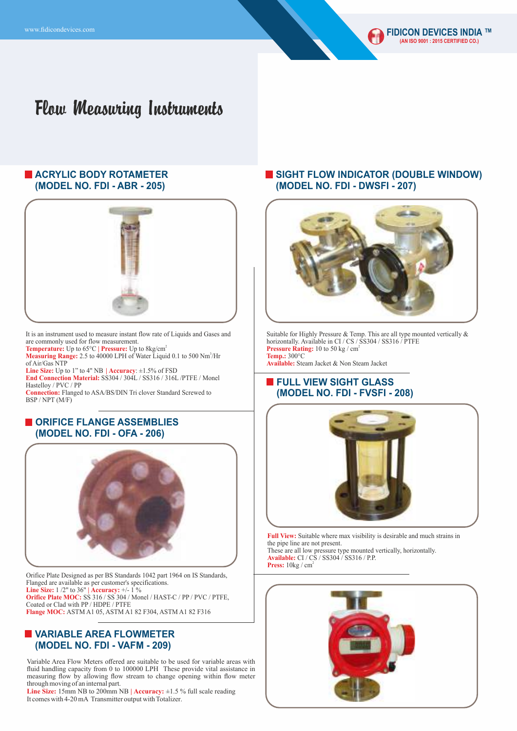

#### **ACRYLIC BODY ROTAMETER (MODEL NO. FDI - ABR - 205)**



It is an instrument used to measure instant flow rate of Liquids and Gases and are commonly used for flow measurement.<br>Temperature: Up to 65°C | Pressure: Up to 8kg/cm<sup>2</sup>

**Measuring Range:** 2.5 to 40000 LPH of Water Liquid 0.1 to 500 Nm<sup>3</sup>/Hr of Air/Gas NTP

**Line Size:** Up to 1" to 4" NB **| Accuracy**: ±1.5% of FSD **End Connection Material:** SS304 / 304L / SS316 / 316L /PTFE / Monel Hastelloy / PVC / PP

**Connection:** Flanged to ASA/BS/DIN Tri clover Standard Screwed to BSP / NPT (M/F)

#### **ORIFICE FLANGE ASSEMBLIES (MODEL NO. FDI - OFA - 206)**



Orifice Plate Designed as per BS Standards 1042 part 1964 on IS Standards, Flanged are available as per customer's specifications. **Line Size:** 1 /2" to 36" **| Accuracy:** +/- 1 % **Orifice Plate MOC:** SS 316 / SS 304 / Monel / HAST-C / PP / PVC / PTFE, Coated or Clad with PP / HDPE / PTFE **Flange MOC:** ASTM A1 05, ASTM A1 82 F304, ASTM A1 82 F316

### **VARIABLE AREA FLOWMETER (MODEL NO. FDI - VAFM - 209)**

Variable Area Flow Meters offered are suitable to be used for variable areas with fluid handling capacity from 0 to 100000 LPH These provide vital assistance in measuring flow by allowing flow stream to change opening within flow meter through moving of an internal part.

It comes with 4-20 mA Transmitter output with Totalizer. **Line Size:** 15mm NB to 200mm NB **| Accuracy:** ±1.5 % full scale reading

#### **SIGHT FLOW INDICATOR (DOUBLE WINDOW) (MODEL NO. FDI - DWSFI - 207)**



Suitable for Highly Pressure & Temp. This are all type mounted vertically & horizontally. Available in CI / CS / SS304 / SS316 / PTFE Pressure Rating: 10 to 50 kg / cm<sup>2</sup> **Temp.:** 300°C

**Available:** Steam Jacket & Non Steam Jacket

#### **FULL VIEW SIGHT GLASS (MODEL NO. FDI - FVSFI - 208)**



**Full View:** Suitable where max visibility is desirable and much strains in the pipe line are not present. These are all low pressure type mounted vertically, horizontally.

**Available:** CI / CS / SS304 / SS316 / P.P. Press:  $10 \text{kg} / \text{cm}^2$ 

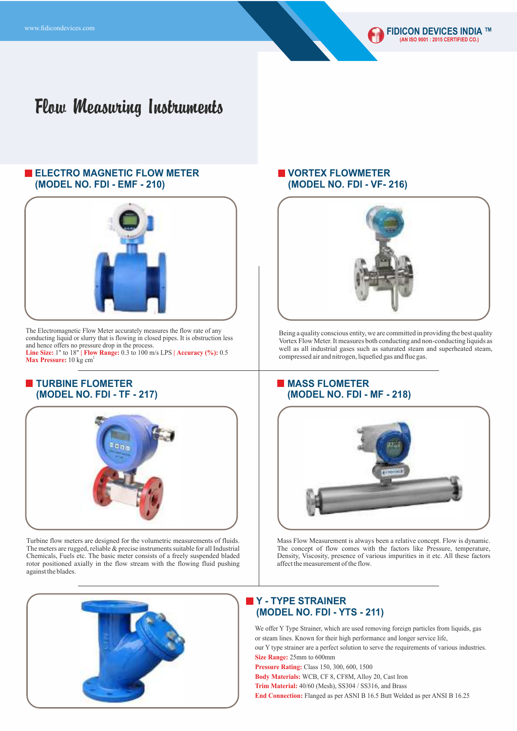### **ELECTRO MAGNETIC FLOW METER (MODEL NO. FDI - EMF - 210)**



The Electromagnetic Flow Meter accurately measures the flow rate of any conducting liquid or slurry that is flowing in closed pipes. It is obstruction less and hence offers no pressure drop in the process. **Line Size:** 1" to 18" **| Flow Range:** 0.3 to 100 m/s LPS **| Accuracy (%):** 0.5

Max Pressure: 10 kg cm<sup>2</sup>

## **TURBINE FLOMETER (MODEL NO. FDI - TF - 217)**



Turbine flow meters are designed for the volumetric measurements of fluids. The meters are rugged, reliable & precise instruments suitable for all Industrial Chemicals, Fuels etc. The basic meter consists of a freely suspended bladed rotor positioned axially in the flow stream with the flowing fluid pushing against the blades.



## **VORTEX FLOWMETER (MODEL NO. FDI - VF- 216)**



Being a quality conscious entity, we are committed in providing the best quality Vortex Flow Meter. It measures both conducting and non-conducting liquids as well as all industrial gases such as saturated steam and superheated steam, compressed air and nitrogen, liquefied gas and flue gas.

## **MASS FLOMETER (MODEL NO. FDI - MF - 218)**



Mass Flow Measurement is always been a relative concept. Flow is dynamic. The concept of flow comes with the factors like Pressure, temperature, Density, Viscosity, presence of various impurities in it etc. All these factors affect the measurement of the flow.

## **Y - TYPE STRAINER (MODEL NO. FDI - YTS - 211)**

We offer Y Type Strainer, which are used removing foreign particles from liquids, gas or steam lines. Known for their high performance and longer service life, our Y type strainer are a perfect solution to serve the requirements of various industries. **Size Range:** 25mm to 600mm **Pressure Rating:** Class 150, 300, 600, 1500

**Body Materials:** WCB, CF 8, CF8M, Alloy 20, Cast Iron **Trim Material:** 40/60 (Mesh), SS304 / SS316, and Brass

**End Connection:** Flanged as per ASNI B 16.5 Butt Welded as per ANSI B 16.25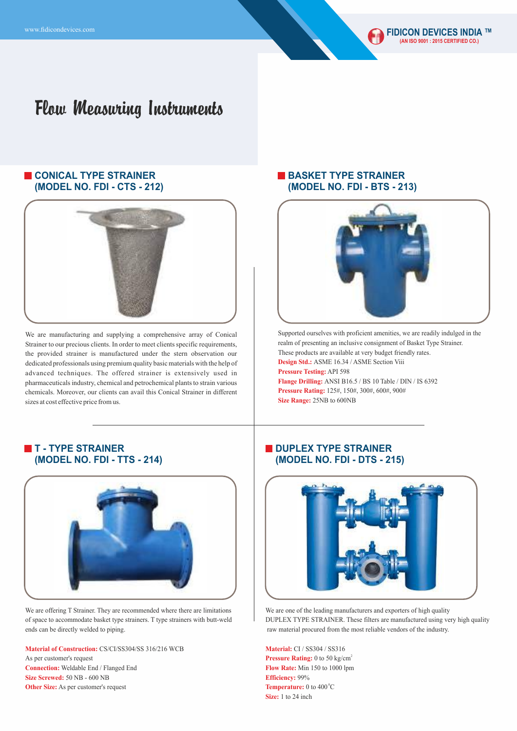## **CONICAL TYPE STRAINER (MODEL NO. FDI - CTS - 212)**



We are manufacturing and supplying a comprehensive array of Conical Strainer to our precious clients. In order to meet clients specific requirements, the provided strainer is manufactured under the stern observation our dedicated professionals using premium quality basic materials with the help of advanced techniques. The offered strainer is extensively used in pharmaceuticals industry, chemical and petrochemical plants to strain various chemicals. Moreover, our clients can avail this Conical Strainer in different sizes at cost effective price from us.

### **BASKET TYPE STRAINER (MODEL NO. FDI - BTS - 213)**



Supported ourselves with proficient amenities, we are readily indulged in the realm of presenting an inclusive consignment of Basket Type Strainer. These products are available at very budget friendly rates. **Design Std.:** ASME 16.34 / ASME Section Viii **Pressure Testing:** API 598 **Flange Drilling:** ANSI B16.5 / BS 10 Table / DIN / IS 6392 **Pressure Rating:** 125#, 150#, 300#, 600#, 900# **Size Range:** 25NB to 600NB

## **T - TYPE STRAINER (MODEL NO. FDI - TTS - 214)**



We are offering T Strainer. They are recommended where there are limitations of space to accommodate basket type strainers. T type strainers with butt-weld ends can be directly welded to piping.

**Material of Construction:** CS/CI/SS304/SS 316/216 WCB As per customer's request

**Connection:** Weldable End / Flanged End **Size Screwed:** 50 NB - 600 NB **Other Size:** As per customer's request

#### **DUPLEX TYPE STRAINER (MODEL NO. FDI - DTS - 215)**



We are one of the leading manufacturers and exporters of high quality DUPLEX TYPE STRAINER. These filters are manufactured using very high quality raw material procured from the most reliable vendors of the industry.

**Material:** CI / SS304 / SS316 Pressure Rating: 0 to 50 kg/cm<sup>2</sup> **Flow Rate:** Min 150 to 1000 lpm **Efficiency:** 99% Temperature: 0 to 400<sup>°</sup>C **Size:** 1 to 24 inch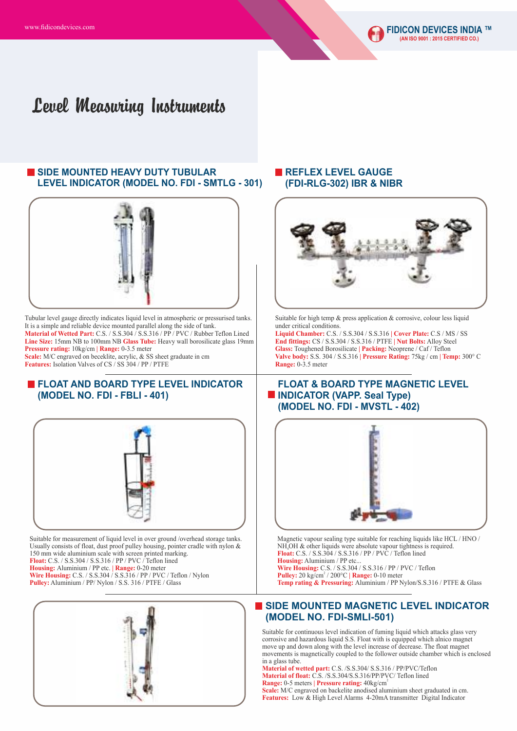## Level Measuring Instruments

### **SIDE MOUNTED HEAVY DUTY TUBULAR LEVEL INDICATOR (MODEL NO. FDI - SMTLG - 301)**



Tubular level gauge directly indicates liquid level in atmospheric or pressurised tanks. It is a simple and reliable device mounted parallel along the side of tank. **Material of Wetted Part:** C.S. / S.S.304 / S.S.316 / PP / PVC / Rubber Teflon Lined **Line Size:** 15mm NB to 100mm NB **Glass Tube:** Heavy wall borosilicate glass 19mm **Pressure rating:** 10kg/cm **| Range:** 0-3.5 meter Scale: M/C engraved on beceklite, acrylic, & SS sheet graduate in cm **Features:** Isolation Valves of CS / SS 304 / PP / PTFE

#### **FLOAT AND BOARD TYPE LEVEL INDICATOR (MODEL NO. FDI - FBLI - 401)**



Suitable for measurement of liquid level in over ground /overhead storage tanks. Usually consists of float, dust proof pulley housing, pointer cradle with nylon & 150 mm wide aluminium scale with screen printed marking. **Float:** C.S. / S.S.304 / S.S.316 / PP / PVC / Teflon lined **Housing:** Aluminium / PP etc. **| Range:** 0-20 meter **Wire Housing: C.S. / S.S.304 / S.S.316 / PP / PVC / Teflon / Nylon Pulley:** Aluminium / PP/ Nylon / S.S. 316 / PTFE / Glass



### **REFLEX LEVEL GAUGE (FDI-RLG-302) IBR & NIBR**



Suitable for high temp & press application & corrosive, colour less liquid under critical conditions.

**Liquid Chamber:** C.S. / S.S.304 / S.S.316 **| Cover Plate:** C.S / MS / SS **End fittings:** CS / S.S.304 / S.S.316 / PTFE **| Nut Bolts:** Alloy Steel **Glass:** Toughened Borosilicate **| Packing:** Neoprene / Caf / Teflon **Valve body:** S.S. 304 / S.S.316 **| Pressure Rating:** 75kg / cm **| Temp:** 300° C **Range:** 0-3.5 meter

#### **FLOAT & BOARD TYPE MAGNETIC LEVEL INDICATOR (VAPP. Seal Type) (MODEL NO. FDI - MVSTL - 402)**



Magnetic vapour sealing type suitable for reaching liquids like HCL / HNO /  $NH<sub>4</sub>OH$  & other liquids were absolute vapour tightness is required. **Float:** C.S. / S.S.304 / S.S.316 / PP / PVC / Teflon lined **Housing:** Aluminium / PP etc. **Wire Housing:** C.S. / S.S.304 / S.S.316 / PP / PVC / Teflon **Pulley:** 20 kg/cm<sup>2</sup> / 200°C **| Range:** 0-10 meter **Temp rating & Pressuring:** Aluminium / PP Nylon/S.S.316 / PTFE & Glass

#### **SIDE MOUNTED MAGNETIC LEVEL INDICATOR (MODEL NO. FDI-SMLI-501)**

Suitable for continuous level indication of fuming liquid which attacks glass very corrosive and hazardous liquid S.S. Float with is equipped which alnico magnet move up and down along with the level increase of decrease. The float magnet movements is magnetically coupled to the follower outside chamber which is enclosed in a glass tube.

**Material of wetted part:** C.S. /S.S.304/ S.S.316 / PP/PVC/Teflon **Material of float:** C.S. /S.S.304/S.S.316/PP/PVC/ Teflon lined <sup>2</sup> **Range:** 0-5 meters **| Pressure rating:** 40kg/cm

**Scale:** M/C engraved on backelite anodised aluminium sheet graduated in cm. Features: Low & High Level Alarms 4-20mA transmitter Digital Indicator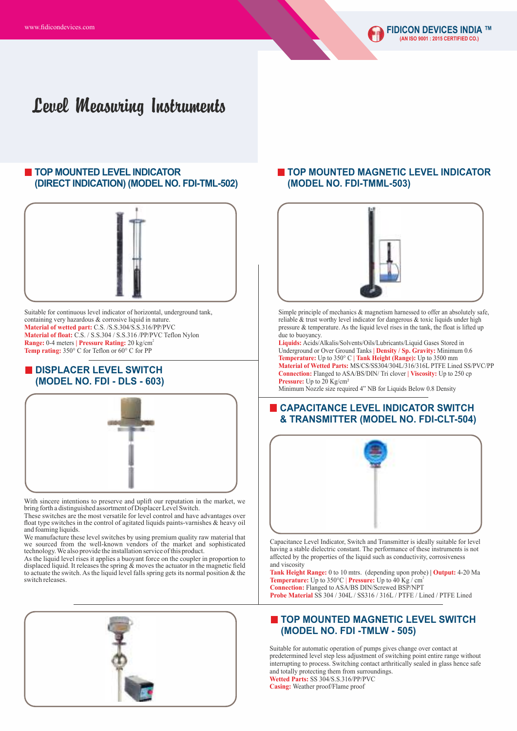## Level Measuring Instruments

### **TOP MOUNTED LEVEL INDICATOR (DIRECT INDICATION) (MODEL NO. FDI-TML-502)**



Suitable for continuous level indicator of horizontal, underground tank, containing very hazardous & corrosive liquid in nature. **Material of wetted part:** C.S. /S.S.304/S.S.316/PP/PVC **Material of float:** C.S. / S.S.304 / S.S.316 /PP/PVC Teflon Nylon <sup>2</sup> **Range:** 0-4 meters **| Pressure Rating:** 20 kg/cm **Temp rating:** 350° C for Teflon or 60° C for PP

#### **DISPLACER LEVEL SWITCH (MODEL NO. FDI - DLS - 603)**



With sincere intentions to preserve and uplift our reputation in the market, we bring forth a distinguished assortment of Displacer Level Switch.

These switches are the most versatile for level control and have advantages over float type switches in the control of agitated liquids paints-varnishes & heavy oil and foaming liquids.

We manufacture these level switches by using premium quality raw material that we sourced from the well-known vendors of the market and sophisticated technology. We also provide the installation service of this product.

As the liquid level rises it applies a buoyant force on the coupler in proportion to displaced liquid. It releases the spring  $\&$  moves the actuator in the magnetic field to actuate the switch. As the liquid level falls spring gets its normal position & the switch releases.



#### **TOP MOUNTED MAGNETIC LEVEL INDICATOR (MODEL NO. FDI-TMML-503)**



Simple principle of mechanics & magnetism harnessed to offer an absolutely safe, reliable & trust worthy level indicator for dangerous & toxic liquids under high pressure & temperature. As the liquid level rises in the tank, the float is lifted up due to buoyancy.

**Liquids:** Acids/Alkalis/Solvents/Oils/Lubricants/Liquid Gases Stored in Underground or Over Ground Tanks **| Density / Sp. Gravity:** Minimum 0.6 **Temperature:** Up to 350° C **| Tank Height (Range):** Up to 3500 mm **Material of Wetted Parts:** MS/CS/SS304/304L/316/316L PTFE Lined SS/PVC/PP **Connection:** Flanged to ASA/BS/DIN/ Tri clover **| Viscosity:** Up to 250 cp **Pressure:** Up to 20 Kg/cm²

Minimum Nozzle size required 4" NB for Liquids Below 0.8 Density

#### **CAPACITANCE LEVEL INDICATOR SWITCH & TRANSMITTER (MODEL NO. FDI-CLT-504)**



Capacitance Level Indicator, Switch and Transmitter is ideally suitable for level having a stable dielectric constant. The performance of these instruments is not affected by the properties of the liquid such as conductivity, corrosiveness and viscosity

**Tank Height Range:** 0 to 10 mtrs. (depending upon probe) **| Output:** 4-20 Ma **Temperature:** Up to  $350^{\circ}$ C | **Pressure:** Up to 40 Kg / cm<sup>2</sup> **Connection:** Flanged to ASA/BS DIN/Screwed BSP/NPT **Probe Material** SS 304 / 304L / SS316 / 316L / PTFE / Lined / PTFE Lined

#### **TOP MOUNTED MAGNETIC LEVEL SWITCH (MODEL NO. FDI -TMLW - 505)**

Suitable for automatic operation of pumps gives change over contact at predetermined level step less adjustment of switching point entire range without interrupting to process. Switching contact arthritically sealed in glass hence safe and totally protecting them from surroundings. **Wetted Parts:** SS 304/S.S.316/PP/PVC

**Casing:** Weather proof/Flame proof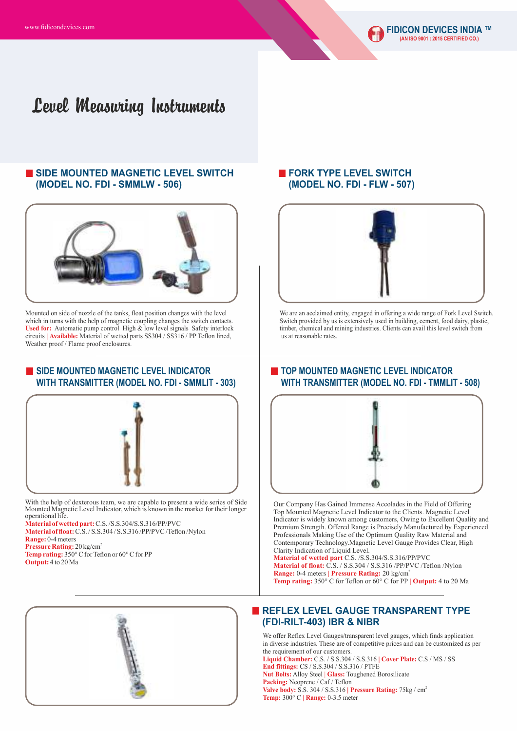## Level Measuring Instruments

## **SIDE MOUNTED MAGNETIC LEVEL SWITCH (MODEL NO. FDI - SMMLW - 506)**



Mounted on side of nozzle of the tanks, float position changes with the level which in turns with the help of magnetic coupling changes the switch contacts. Used for: Automatic pump control High & low level signals Safety interlock circuits **| Available:** Material of wetted parts SS304 / SS316 / PP Teflon lined, Weather proof / Flame proof enclosures.

#### **SIDE MOUNTED MAGNETIC LEVEL INDICATOR WITH TRANSMITTER (MODEL NO. FDI - SMMLIT - 303)**



With the help of dexterous team, we are capable to present a wide series of Side Mounted Magnetic Level Indicator, which is known in the market for their longer operational life.

**Material of wetted part:** C.S. /S.S.304/S.S.316/PP/PVC

**Material of float:**C.S. / S.S.304 / S.S.316 /PP/PVC /Teflon /Nylon

**Range:** 0-4 meters

Pressure Rating: 20 kg/cm<sup>2</sup>

**Temp rating:** 350° C for Teflon or 60° C for PP **Output:** 4 to 20 Ma



## **FORK TYPE LEVEL SWITCH (MODEL NO. FDI - FLW - 507)**



We are an acclaimed entity, engaged in offering a wide range of Fork Level Switch. Switch provided by us is extensively used in building, cement, food dairy, plastic, timber, chemical and mining industries. Clients can avail this level switch from us at reasonable rates.

## **TOP MOUNTED MAGNETIC LEVEL INDICATOR WITH TRANSMITTER (MODEL NO. FDI - TMMLIT - 508)**



Our Company Has Gained Immense Accolades in the Field of Offering Top Mounted Magnetic Level Indicator to the Clients. Magnetic Level Indicator is widely known among customers, Owing to Excellent Quality and Premium Strength. Offered Range is Precisely Manufactured by Experienced Professionals Making Use of the Optimum Quality Raw Material and Contemporary Technology.Magnetic Level Gauge Provides Clear, High Clarity Indication of Liquid Level.

**Material of wetted part** C.S. /S.S.304/S.S.316/PP/PVC **Material of float:** C.S. / S.S.304 / S.S.316 /PP/PVC /Teflon /Nylon <sup>2</sup> **Range:** 0-4 meters **| Pressure Rating:** 20 kg/cm **Temp rating:** 350° C for Teflon or 60° C for PP **| Output:** 4 to 20 Ma

#### **REFLEX LEVEL GAUGE TRANSPARENT TYPE (FDI-RILT-403) IBR & NIBR**

We offer Reflex Level Gauges/transparent level gauges, which finds application in diverse industries. These are of competitive prices and can be customized as per the requirement of our customers.

**Liquid Chamber:** C.S. / S.S.304 / S.S.316 **| Cover Plate:** C.S / MS / SS **End fittings:** CS / S.S.304 / S.S.316 / PTFE **Nut Bolts:** Alloy Steel | **Glass:** Toughened Borosilicate Packing: Neoprene / Caf / Teflon <sup>2</sup> **Valve body:** S.S. 304 / S.S.316 **| Pressure Rating:** 75kg / cm **Temp:** 300° C **| Range:** 0-3.5 meter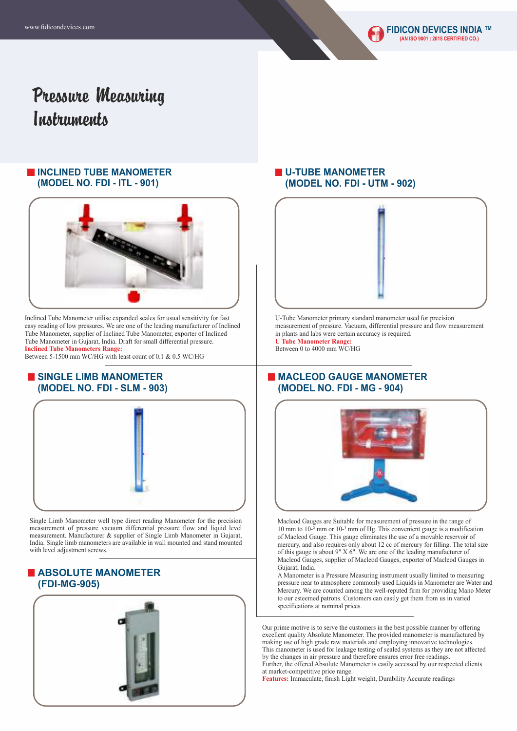# Pressure Measuring *Instruments*

#### **INCLINED TUBE MANOMETER (MODEL NO. FDI - ITL - 901)**



Inclined Tube Manometer utilise expanded scales for usual sensitivity for fast easy reading of low pressures. We are one of the leading manufacturer of Inclined Tube Manometer, supplier of Inclined Tube Manometer, exporter of Inclined Tube Manometer in Gujarat, India. Draft for small differential pressure. **Inclined Tube Manometers Range:** 

Between 5-1500 mm WC/HG with least count of 0.1 & 0.5 WC/HG

#### **SINGLE LIMB MANOMETER (MODEL NO. FDI - SLM - 903)**



Single Limb Manometer well type direct reading Manometer for the precision measurement of pressure vacuum differential pressure flow and liquid level measurement. Manufacturer & supplier of Single Limb Manometer in Gujarat, India. Single limb manometers are available in wall mounted and stand mounted with level adjustment screws.

## **ABSOLUTE MANOMETER (FDI-MG-905)**



## **U-TUBE MANOMETER (MODEL NO. FDI - UTM - 902)**



U-Tube Manometer primary standard manometer used for precision measurement of pressure. Vacuum, differential pressure and flow measurement in plants and labs were certain accuracy is required. **U Tube Manometer Range:**  Between 0 to 4000 mm WC/HG

### **MACLEOD GAUGE MANOMETER (MODEL NO. FDI - MG - 904)**



Macleod Gauges are Suitable for measurement of pressure in the range of 10 mm to  $10^{-2}$  mm or  $10^{-3}$  mm of Hg. This convenient gauge is a modification of Macleod Gauge. This gauge eliminates the use of a movable reservoir of mercury, and also requires only about 12 cc of mercury for filling. The total size of this gauge is about 9" X 6". We are one of the leading manufacturer of Macleod Gauges, supplier of Macleod Gauges, exporter of Macleod Gauges in Gujarat, India.

A Manometer is a Pressure Measuring instrument usually limited to measuring pressure near to atmosphere commonly used Liquids in Manometer are Water and Mercury. We are counted among the well-reputed firm for providing Mano Meter to our esteemed patrons. Customers can easily get them from us in varied specifications at nominal prices.

Our prime motive is to serve the customers in the best possible manner by offering excellent quality Absolute Manometer. The provided manometer is manufactured by making use of high grade raw materials and employing innovative technologies. This manometer is used for leakage testing of sealed systems as they are not affected by the changes in air pressure and therefore ensures error free readings. Further, the offered Absolute Manometer is easily accessed by our respected clients at market-competitive price range.

**Features:** Immaculate, finish Light weight, Durability Accurate readings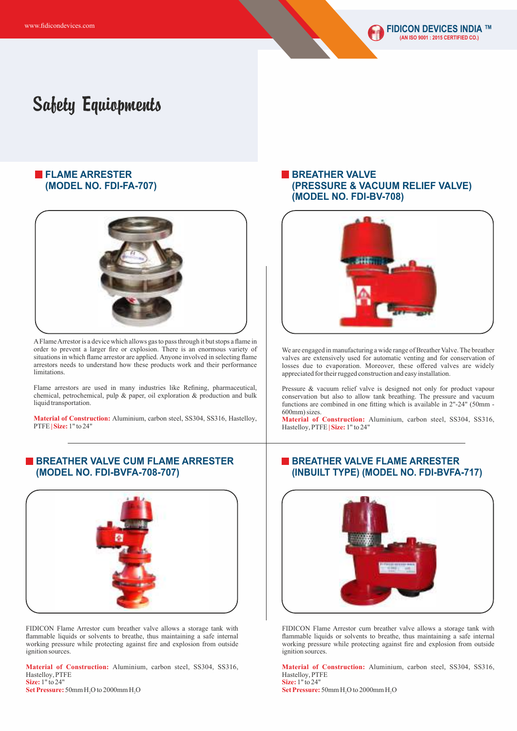### **FLAME ARRESTER (MODEL NO. FDI-FA-707)**



AFlame Arrestor is a device which allows gas to pass through it but stops a flame in order to prevent a larger fire or explosion. There is an enormous variety of situations in which flame arrestor are applied. Anyone involved in selecting flame arrestors needs to understand how these products work and their performance limitations.

Flame arrestors are used in many industries like Refining, pharmaceutical, chemical, petrochemical, pulp & paper, oil exploration & production and bulk liquid transportation.

**Material of Construction:** Aluminium, carbon steel, SS304, SS316, Hastelloy, PTFE **| Size:** 1" to 24"

#### **BREATHER VALVE CUM FLAME ARRESTER (MODEL NO. FDI-BVFA-708-707)**



FIDICON Flame Arrestor cum breather valve allows a storage tank with flammable liquids or solvents to breathe, thus maintaining a safe internal working pressure while protecting against fire and explosion from outside ignition sources.

**Size:** 1" to 24" **Material of Construction:** Aluminium, carbon steel, SS304, SS316, Hastelloy, PTFE

**Set Pressure:**  $50$ mm H<sub>2</sub>O to  $2000$ mm H<sub>2</sub>O

#### **BREATHER VALVE (PRESSURE & VACUUM RELIEF VALVE) (MODEL NO. FDI-BV-708)**



We are engaged in manufacturing a wide range of Breather Valve. The breather valves are extensively used for automatic venting and for conservation of losses due to evaporation. Moreover, these offered valves are widely appreciated for their rugged construction and easy installation.

Pressure & vacuum relief valve is designed not only for product vapour conservation but also to allow tank breathing. The pressure and vacuum functions are combined in one fitting which is available in 2"-24" (50mm - 600mm) sizes.

**Material of Construction:** Aluminium, carbon steel, SS304, SS316, Hastelloy, PTFE **| Size:** 1" to 24"

### **BREATHER VALVE FLAME ARRESTER (INBUILT TYPE) (MODEL NO. FDI-BVFA-717)**



FIDICON Flame Arrestor cum breather valve allows a storage tank with flammable liquids or solvents to breathe, thus maintaining a safe internal working pressure while protecting against fire and explosion from outside ignition sources.

**Material of Construction:** Aluminium, carbon steel, SS304, SS316, Hastelloy, PTFE **Size:** 1" to 24"

**Set Pressure:**  $50$ mm H<sub>2</sub>O to 2000mm H<sub>2</sub>O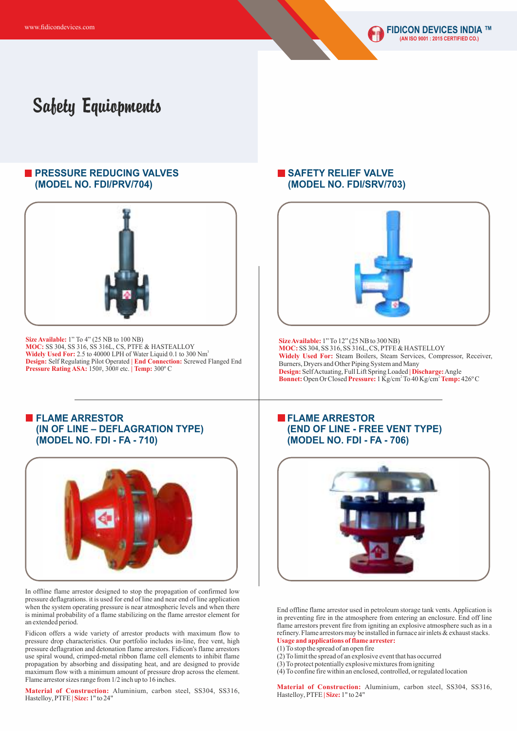#### **PRESSURE REDUCING VALVES (MODEL NO. FDI/PRV/704)**



**Size Available:** 1" To 4" (25 NB to 100 NB) **MOC:** SS 304, SS 316, SS 316L, CS, PTFE & HASTEALLOY <sup>3</sup> **Widely Used For:** 2.5 to 40000 LPH of Water Liquid 0.1 to 300 Nm **Design:** Self Regulating Pilot Operated **| End Connection:** Screwed Flanged End **Pressure Rating ASA:** 150#, 300# etc. **| Temp:** 300º C

### **SAFETY RELIEF VALVE (MODEL NO. FDI/SRV/703)**



**Size Available:** 1" To 12" (25 NB to 300 NB) **MOC:** SS 304, SS 316, SS 316L, CS, PTFE & HASTELLOY Bonnet: Open Or Closed Pressure: 1 Kg/cm<sup>2</sup> To 40 Kg/cm<sup>2</sup> Temp: 426°C **Widely Used For:** Steam Boilers, Steam Services, Compressor, Receiver, Burners, Dryers and Other Piping System and Many **Design:** Self Actuating, Full Lift Spring Loaded **| Discharge:**Angle

#### **FLAME ARRESTOR (IN OF LINE – DEFLAGRATION TYPE) (MODEL NO. FDI - FA - 710)**



In offline flame arrestor designed to stop the propagation of confirmed low pressure deflagrations. it is used for end of line and near end of line application when the system operating pressure is near atmospheric levels and when there is minimal probability of a flame stabilizing on the flame arrestor element for an extended period.

Fidicon offers a wide variety of arrestor products with maximum flow to pressure drop characteristics. Our portfolio includes in-line, free vent, high pressure deflagration and detonation flame arrestors. Fidicon's flame arrestors use spiral wound, crimped-metal ribbon flame cell elements to inhibit flame propagation by absorbing and dissipating heat, and are designed to provide maximum flow with a minimum amount of pressure drop across the element. Flame arrestor sizes range from 1/2 inch up to 16 inches.

**Material of Construction:** Aluminium, carbon steel, SS304, SS316, Hastelloy, PTFE **| Size:** 1" to 24"

### **FLAME ARRESTOR (END OF LINE - FREE VENT TYPE) (MODEL NO. FDI - FA - 706)**



End offline flame arrestor used in petroleum storage tank vents. Application is in preventing fire in the atmosphere from entering an enclosure. End off line flame arrestors prevent fire from igniting an explosive atmosphere such as in a refinery. Flame arrestors may be installed in furnace air inlets & exhaust stacks. **Usage and applications of flame arrester:**

(1) To stop the spread of an open fire

(2) To limit the spread of an explosive event that has occurred

(3) To protect potentially explosive mixtures from igniting

(4) To confine fire within an enclosed, controlled, or regulated location

**Material of Construction:** Aluminium, carbon steel, SS304, SS316, Hastelloy, PTFE **| Size:** 1" to 24"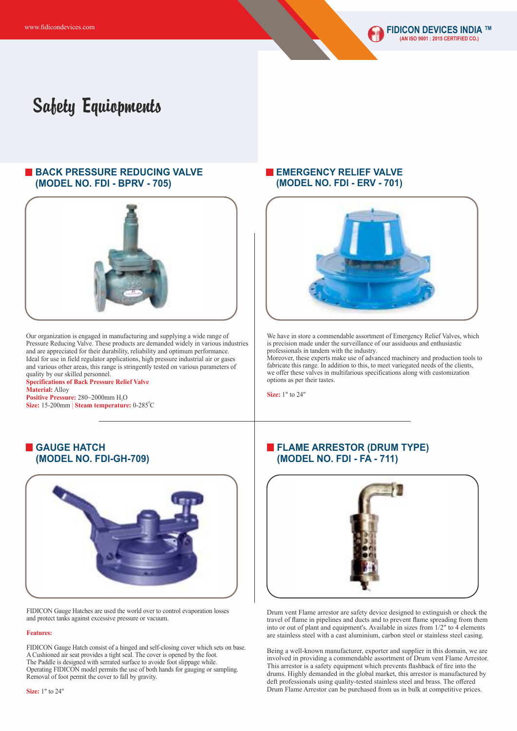

#### **BACK PRESSURE REDUCING VALVE (MODEL NO. FDI - BPRV - 705)**



Our organization is engaged in manufacturing and supplying a wide range of Pressure Reducing Valve. These products are demanded widely in various industries and are appreciated for their durability, reliability and optimum performance. Ideal for use in field regulator applications, high pressure industrial air or gases and various other areas, this range is stringently tested on various parameters of quality by our skilled personnel.

#### **Specifications of Back Pressure Relief Valve Material:** Alloy **Positive Pressure: 280~2000mm H<sub>,</sub>O**

0 **Size:** 15-200mm | **Steam temperature:** 0-285 C

#### **EMERGENCY RELIEF VALVE (MODEL NO. FDI - ERV - 701)**



We have in store a commendable assortment of Emergency Relief Valves, which is precision made under the surveillance of our assiduous and enthusiastic professionals in tandem with the industry.

Moreover, these experts make use of advanced machinery and production tools to fabricate this range. In addition to this, to meet variegated needs of the clients, we offer these valves in multifarious specifications along with customization options as per their tastes.

**Size:** 1" to 24"



FIDICON Gauge Hatches are used the world over to control evaporation losses and protect tanks against excessive pressure or vacuum.

#### **Features:**

FIDICON Gauge Hatch consist of a hinged and self-closing cover which sets on base. A Cushioned air seat provides a tight seal. The cover is opened by the foot. The Paddle is designed with serrated surface to avoide foot slippage while. Operating FIDICON model permits the use of both hands for gauging or sampling. Removal of foot permit the cover to fall by gravity.

## **FLAME ARRESTOR (DRUM TYPE) (MODEL NO. FDI - FA - 711)**



Drum vent Flame arrestor are safety device designed to extinguish or check the travel of flame in pipelines and ducts and to prevent flame spreading from them into or out of plant and equipment's. Available in sizes from 1/2" to 4 elements are stainless steel with a cast aluminium, carbon steel or stainless steel casing.

Being a well-known manufacturer, exporter and supplier in this domain, we are involved in providing a commendable assortment of Drum vent Flame Arrestor. This arrestor is a safety equipment which prevents flashback of fire into the drums. Highly demanded in the global market, this arrestor is manufactured by deft professionals using quality-tested stainless steel and brass. The offered Drum Flame Arrestor can be purchased from us in bulk at competitive prices.

## **GAUGE HATCH (MODEL NO. FDI-GH-709)**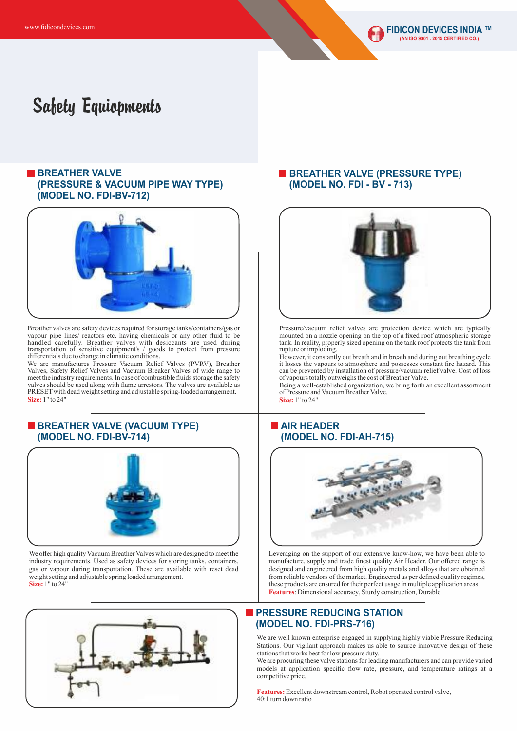#### **BREATHER VALVE (PRESSURE & VACUUM PIPE WAY TYPE) (MODEL NO. FDI-BV-712)**



Breather valves are safety devices required for storage tanks/containers/gas or vapour pipe lines/ reactors etc. having chemicals or any other fluid to be handled carefully. Breather valves with desiccants are used during transportation of sensitive equipment's / goods to protect from pressure differentials due to change in climatic conditions.

We are manufactures Pressure Vacuum Relief Valves (PVRV), Breather Valves, Safety Relief Valves and Vacuum Breaker Valves of wide range to meet the industry requirements. In case of combustible fluids storage the safety valves should be used along with flame arrestors. The valves are available as PRESETwith dead weight setting and adjustable spring-loaded arrangement. **Size:** 1" to 24"

#### **BREATHER VALVE (VACUUM TYPE) (MODEL NO. FDI-BV-714)**



We offer high quality Vacuum Breather Valves which are designed to meet the industry requirements. Used as safety devices for storing tanks, containers, gas or vapour during transportation. These are available with reset dead weight setting and adjustable spring loaded arrangement. **Size:** 1" to 24"



#### **BREATHER VALVE (PRESSURE TYPE) (MODEL NO. FDI - BV - 713)**



Pressure/vacuum relief valves are protection device which are typically mounted on a nozzle opening on the top of a fixed roof atmospheric storage tank. In reality, properly sized opening on the tank roof protects the tank from rupture or imploding.

However, it constantly out breath and in breath and during out breathing cycle it losses the vapours to atmosphere and possesses constant fire hazard. This can be prevented by installation of pressure/vacuum relief valve. Cost of loss of vapours totally outweighs the cost of Breather Valve.

Being a well-established organization, we bring forth an excellent assortment of Pressure and Vacuum Breather Valve.

**Size:** 1" to 24"

## **AIR HEADER (MODEL NO. FDI-AH-715)**



Leveraging on the support of our extensive know-how, we have been able to manufacture, supply and trade finest quality Air Header. Our offered range is designed and engineered from high quality metals and alloys that are obtained from reliable vendors of the market. Engineered as per defined quality regimes, these products are ensured for their perfect usage in multiple application areas. **Features**: Dimensional accuracy, Sturdy construction, Durable

### **PRESSURE REDUCING STATION (MODEL NO. FDI-PRS-716)**

We are well known enterprise engaged in supplying highly viable Pressure Reducing Stations. Our vigilant approach makes us able to source innovative design of these stations that works best for low pressure duty.

We are procuring these valve stations for leading manufacturers and can provide varied models at application specific flow rate, pressure, and temperature ratings at a competitive price.

**Features:**Excellent downstream control, Robot operated control valve, 40:1 turn down ratio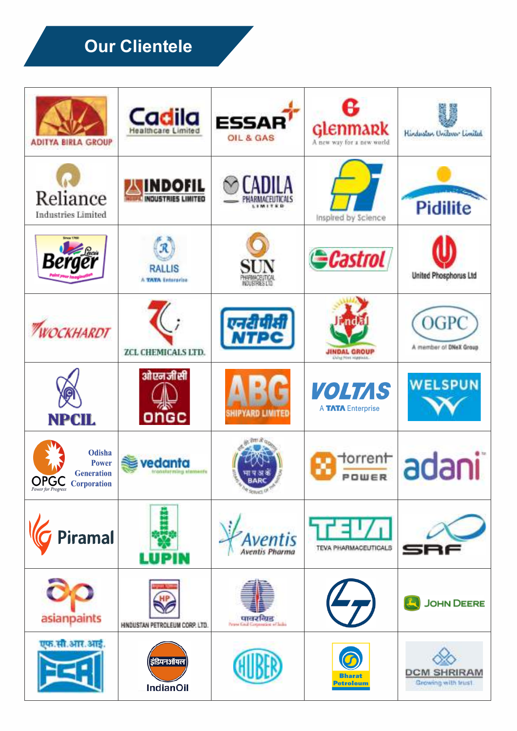# **Our Clientele**

| <b>ADITYA BIRLA GROUP</b>                                              | Cadila<br>Healthcare Limited                | <b>ESSAR</b><br>OIL & GAS         | <b>Glenmark</b><br>A new year for a new world.      | Hindustan Uniteres Limited               |
|------------------------------------------------------------------------|---------------------------------------------|-----------------------------------|-----------------------------------------------------|------------------------------------------|
| Reliance<br><b>Industries Limited</b>                                  | <b>INDOFIL</b><br><b>INDUSTRIES LIMITED</b> | TADILA<br>11M175B                 | Inspired by Science                                 | <b>Pidilite</b>                          |
| Berger                                                                 | R<br><b>RALLIS</b><br>A TATA Enterprise     | SIN                               | <b>Castrol</b>                                      | United Phosphorus Ltd                    |
| <b>ПУОСКНАВОТ</b>                                                      | ZCL CHEMICALS LTD.                          | एनरीपीसी<br>NTPC                  | <b>JINDAL GROUP</b><br><b>Elding Powe Harpindal</b> | OGPC<br>A member of DNeX Group           |
| <b>NPCIL</b>                                                           | औएनजीसी<br>ongc                             | SHIPYARD LIMITED                  | <b>VOLTAS</b><br>A TATA Enterprise                  | <b>WELSPUN</b>                           |
| Odisha<br><b>Power</b><br><b>Generation</b><br><b>OPGC</b> Corporation | vedanta                                     |                                   | torrent<br>POWER                                    | uuui                                     |
| Piramal                                                                | LUPIN                                       | Aventis<br><b>Aventis Pharma</b>  | TEVA PHARMACEUTICALS                                |                                          |
| asianpaints                                                            | HNDUSTAN PETROLEUM CORP. LTD.               | . पावरविद्य<br>पावर कार्य के पावर |                                                     | <b>JOHN DEERE</b>                        |
| एफ.सी.आर.आई.                                                           | इंडियनऑयल<br><b>IndianOil</b>               |                                   | <b>Bharat</b><br><b>Petroleum</b>                   | <b>DCM SHRIRAM</b><br>Growing with trust |